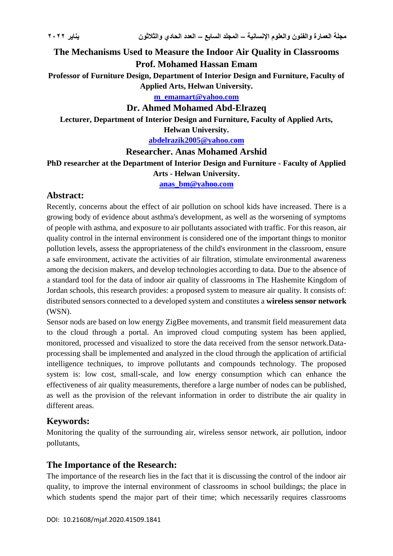# **The Mechanisms Used to Measure the Indoor Air Quality in Classrooms Prof. Mohamed Hassan Emam**

**Professor of Furniture Design, Department of Interior Design and Furniture, Faculty of Applied Arts, Helwan University.**

**[m\\_emamart@yahoo.com](mailto:m_emamart@yahoo.com)**

## **Dr. Ahmed Mohamed Abd-Elrazeq**

**Lecturer, Department of Interior Design and Furniture, Faculty of Applied Arts,** 

#### **Helwan University.**

**[abdelrazik2005@yahoo.com](mailto:abdelrazik2005@yahoo.com)**

## **Researcher. Anas Mohamed Arshid**

**PhD researcher at the Department of Interior Design and Furniture - Faculty of Applied** 

#### **Arts - Helwan University.**

**[anas\\_bm@yahoo.com](mailto:anas_bm@yahoo.com)**

## **Abstract:**

Recently, concerns about the effect of air pollution on school kids have increased. There is a growing body of evidence about asthma's development, as well as the worsening of symptoms of people with asthma, and exposure to air pollutants associated with traffic. For this reason, air quality control in the internal environment is considered one of the important things to monitor pollution levels, assess the appropriateness of the child's environment in the classroom, ensure a safe environment, activate the activities of air filtration, stimulate environmental awareness among the decision makers, and develop technologies according to data. Due to the absence of a standard tool for the data of indoor air quality of classrooms in The Hashemite Kingdom of Jordan schools, this research provides: a proposed system to measure air quality. It consists of: distributed sensors connected to a developed system and constitutes a **wireless sensor network** (WSN).

Sensor nods are based on low energy ZigBee movements, and transmit field measurement data to the cloud through a portal. An improved cloud computing system has been applied, monitored, processed and visualized to store the data received from the sensor network.Dataprocessing shall be implemented and analyzed in the cloud through the application of artificial intelligence techniques, to improve pollutants and compounds technology. The proposed system is: low cost, small-scale, and low energy consumption which can enhance the effectiveness of air quality measurements, therefore a large number of nodes can be published, as well as the provision of the relevant information in order to distribute the air quality in different areas.

# **Keywords:**

Monitoring the quality of the surrounding air, wireless sensor network, air pollution, indoor pollutants,

# **The Importance of the Research:**

The importance of the research lies in the fact that it is discussing the control of the indoor air quality, to improve the internal environment of classrooms in school buildings; the place in which students spend the major part of their time; which necessarily requires classrooms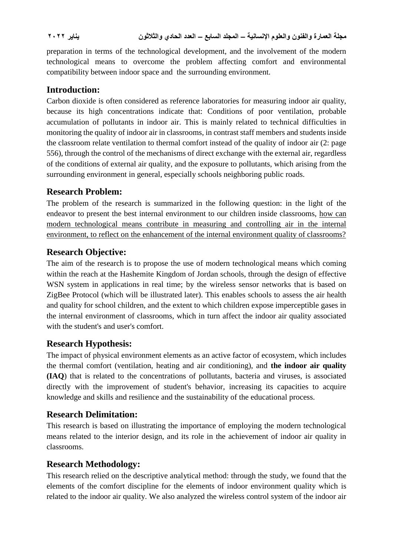preparation in terms of the technological development, and the involvement of the modern technological means to overcome the problem affecting comfort and environmental compatibility between indoor space and the surrounding environment.

# **Introduction:**

Carbon dioxide is often considered as reference laboratories for measuring indoor air quality, because its high concentrations indicate that: Conditions of poor ventilation, probable accumulation of pollutants in indoor air. This is mainly related to technical difficulties in monitoring the quality of indoor air in classrooms, in contrast staff members and students inside the classroom relate ventilation to thermal comfort instead of the quality of indoor air (2: page 556), through the control of the mechanisms of direct exchange with the external air, regardless of the conditions of external air quality, and the exposure to pollutants, which arising from the surrounding environment in general, especially schools neighboring public roads.

# **Research Problem:**

The problem of the research is summarized in the following question: in the light of the endeavor to present the best internal environment to our children inside classrooms, how can modern technological means contribute in measuring and controlling air in the internal environment, to reflect on the enhancement of the internal environment quality of classrooms?

# **Research Objective:**

The aim of the research is to propose the use of modern technological means which coming within the reach at the Hashemite Kingdom of Jordan schools, through the design of effective WSN system in applications in real time; by the wireless sensor networks that is based on ZigBee Protocol (which will be illustrated later). This enables schools to assess the air health and quality for school children, and the extent to which children expose imperceptible gases in the internal environment of classrooms, which in turn affect the indoor air quality associated with the student's and user's comfort.

# **Research Hypothesis:**

The impact of physical environment elements as an active factor of ecosystem, which includes the thermal comfort (ventilation, heating and air conditioning), and **the indoor air quality (IAQ**) that is related to the concentrations of pollutants, bacteria and viruses, is associated directly with the improvement of student's behavior, increasing its capacities to acquire knowledge and skills and resilience and the sustainability of the educational process.

# **Research Delimitation:**

This research is based on illustrating the importance of employing the modern technological means related to the interior design, and its role in the achievement of indoor air quality in classrooms.

# **Research Methodology:**

This research relied on the descriptive analytical method: through the study, we found that the elements of the comfort discipline for the elements of indoor environment quality which is related to the indoor air quality. We also analyzed the wireless control system of the indoor air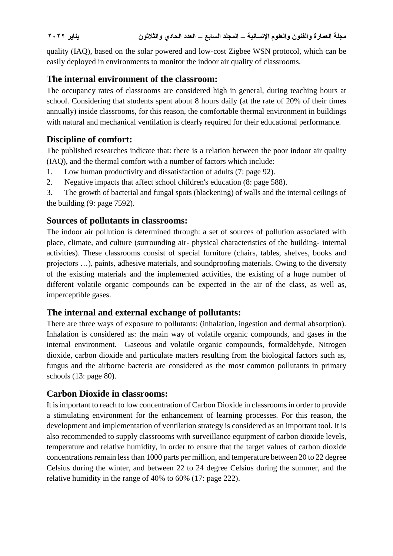quality (IAQ), based on the solar powered and low-cost Zigbee WSN protocol, which can be easily deployed in environments to monitor the indoor air quality of classrooms.

# **The internal environment of the classroom:**

The occupancy rates of classrooms are considered high in general, during teaching hours at school. Considering that students spent about 8 hours daily (at the rate of 20% of their times annually) inside classrooms, for this reason, the comfortable thermal environment in buildings with natural and mechanical ventilation is clearly required for their educational performance.

# **Discipline of comfort:**

The published researches indicate that: there is a relation between the poor indoor air quality (IAQ), and the thermal comfort with a number of factors which include:

- 1. Low human productivity and dissatisfaction of adults (7: page 92).
- 2. Negative impacts that affect school children's education (8: page 588).

3. The growth of bacterial and fungal spots (blackening) of walls and the internal ceilings of the building (9: page 7592).

# **Sources of pollutants in classrooms:**

The indoor air pollution is determined through: a set of sources of pollution associated with place, climate, and culture (surrounding air- physical characteristics of the building- internal activities). These classrooms consist of special furniture (chairs, tables, shelves, books and projectors …), paints, adhesive materials, and soundproofing materials. Owing to the diversity of the existing materials and the implemented activities, the existing of a huge number of different volatile organic compounds can be expected in the air of the class, as well as, imperceptible gases.

# **The internal and external exchange of pollutants:**

There are three ways of exposure to pollutants: (inhalation, ingestion and dermal absorption). Inhalation is considered as: the main way of volatile organic compounds, and gases in the internal environment. Gaseous and volatile organic compounds, formaldehyde, Nitrogen dioxide, carbon dioxide and particulate matters resulting from the biological factors such as, fungus and the airborne bacteria are considered as the most common pollutants in primary schools (13: page 80).

# **Carbon Dioxide in classrooms:**

It is important to reach to low concentration of Carbon Dioxide in classrooms in order to provide a stimulating environment for the enhancement of learning processes. For this reason, the development and implementation of ventilation strategy is considered as an important tool. It is also recommended to supply classrooms with surveillance equipment of carbon dioxide levels, temperature and relative humidity, in order to ensure that the target values of carbon dioxide concentrations remain less than 1000 parts per million, and temperature between 20 to 22 degree Celsius during the winter, and between 22 to 24 degree Celsius during the summer, and the relative humidity in the range of 40% to 60% (17: page 222).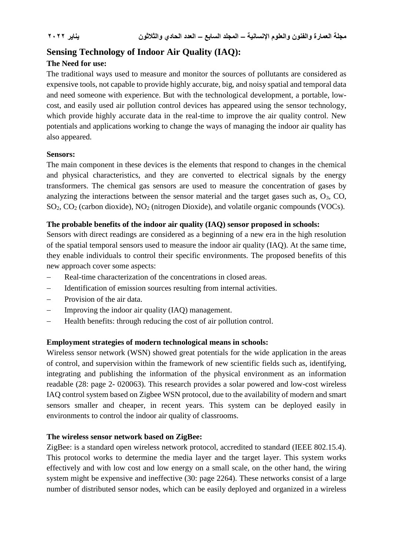# **Sensing Technology of Indoor Air Quality (IAQ):**

## **The Need for use:**

The traditional ways used to measure and monitor the sources of pollutants are considered as expensive tools, not capable to provide highly accurate, big, and noisy spatial and temporal data and need someone with experience. But with the technological development, a portable, lowcost, and easily used air pollution control devices has appeared using the sensor technology, which provide highly accurate data in the real-time to improve the air quality control. New potentials and applications working to change the ways of managing the indoor air quality has also appeared.

#### **Sensors:**

The main component in these devices is the elements that respond to changes in the chemical and physical characteristics, and they are converted to electrical signals by the energy transformers. The chemical gas sensors are used to measure the concentration of gases by analyzing the interactions between the sensor material and the target gases such as,  $O_3$ , CO, SO2, CO<sup>2</sup> (carbon dioxide), NO<sup>2</sup> (nitrogen Dioxide), and volatile organic compounds (VOCs).

## **The probable benefits of the indoor air quality (IAQ) sensor proposed in schools:**

Sensors with direct readings are considered as a beginning of a new era in the high resolution of the spatial temporal sensors used to measure the indoor air quality (IAQ). At the same time, they enable individuals to control their specific environments. The proposed benefits of this new approach cover some aspects:

- Real-time characterization of the concentrations in closed areas.
- Identification of emission sources resulting from internal activities.
- Provision of the air data.
- Improving the indoor air quality (IAQ) management.
- Health benefits: through reducing the cost of air pollution control.

## **Employment strategies of modern technological means in schools:**

Wireless sensor network (WSN) showed great potentials for the wide application in the areas of control, and supervision within the framework of new scientific fields such as, identifying, integrating and publishing the information of the physical environment as an information readable (28: page 2- 020063). This research provides a solar powered and low-cost wireless IAQ control system based on Zigbee WSN protocol, due to the availability of modern and smart sensors smaller and cheaper, in recent years. This system can be deployed easily in environments to control the indoor air quality of classrooms.

#### **The wireless sensor network based on ZigBee:**

ZigBee: is a standard open wireless network protocol, accredited to standard (IEEE 802.15.4). This protocol works to determine the media layer and the target layer. This system works effectively and with low cost and low energy on a small scale, on the other hand, the wiring system might be expensive and ineffective (30: page 2264). These networks consist of a large number of distributed sensor nodes, which can be easily deployed and organized in a wireless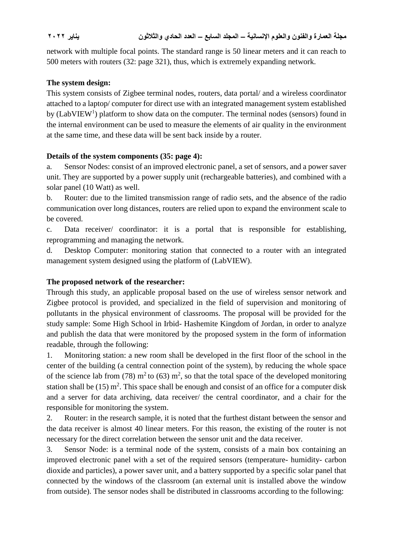network with multiple focal points. The standard range is 50 linear meters and it can reach to 500 meters with routers (32: page 321), thus, which is extremely expanding network.

## **The system design:**

This system consists of Zigbee terminal nodes, routers, data portal/ and a wireless coordinator attached to a laptop/ computer for direct use with an integrated management system established by  $(LabVIEW<sup>1</sup>)$  platform to show data on the computer. The terminal nodes (sensors) found in the internal environment can be used to measure the elements of air quality in the environment at the same time, and these data will be sent back inside by a router.

## **Details of the system components (35: page 4):**

a. Sensor Nodes: consist of an improved electronic panel, a set of sensors, and a power saver unit. They are supported by a power supply unit (rechargeable batteries), and combined with a solar panel (10 Watt) as well.

b. Router: due to the limited transmission range of radio sets, and the absence of the radio communication over long distances, routers are relied upon to expand the environment scale to be covered.

c. Data receiver/ coordinator: it is a portal that is responsible for establishing, reprogramming and managing the network.

d. Desktop Computer: monitoring station that connected to a router with an integrated management system designed using the platform of (LabVIEW).

## **The proposed network of the researcher:**

Through this study, an applicable proposal based on the use of wireless sensor network and Zigbee protocol is provided, and specialized in the field of supervision and monitoring of pollutants in the physical environment of classrooms. The proposal will be provided for the study sample: Some High School in Irbid- Hashemite Kingdom of Jordan, in order to analyze and publish the data that were monitored by the proposed system in the form of information readable, through the following:

1. Monitoring station: a new room shall be developed in the first floor of the school in the center of the building (a central connection point of the system), by reducing the whole space of the science lab from (78)  $m^2$  to (63)  $m^2$ , so that the total space of the developed monitoring station shall be  $(15)$  m<sup>2</sup>. This space shall be enough and consist of an office for a computer disk and a server for data archiving, data receiver/ the central coordinator, and a chair for the responsible for monitoring the system.

2. Router: in the research sample, it is noted that the furthest distant between the sensor and the data receiver is almost 40 linear meters. For this reason, the existing of the router is not necessary for the direct correlation between the sensor unit and the data receiver.

3. Sensor Node: is a terminal node of the system, consists of a main box containing an improved electronic panel with a set of the required sensors (temperature- humidity- carbon dioxide and particles), a power saver unit, and a battery supported by a specific solar panel that connected by the windows of the classroom (an external unit is installed above the window from outside). The sensor nodes shall be distributed in classrooms according to the following: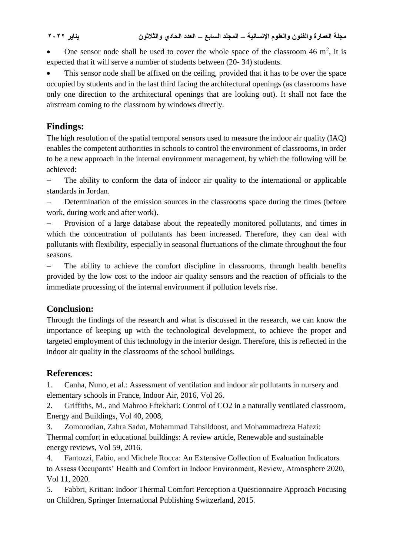**مجلة العمارة والفنون والعلوم اإلنسانية – المجلد السابع – العدد الحادي والثالثون يناير 2022**

• One sensor node shall be used to cover the whole space of the classroom 46  $m^2$ , it is expected that it will serve a number of students between (20- 34) students.

 This sensor node shall be affixed on the ceiling, provided that it has to be over the space occupied by students and in the last third facing the architectural openings (as classrooms have only one direction to the architectural openings that are looking out). It shall not face the airstream coming to the classroom by windows directly.

# **Findings:**

The high resolution of the spatial temporal sensors used to measure the indoor air quality (IAQ) enables the competent authorities in schools to control the environment of classrooms, in order to be a new approach in the internal environment management, by which the following will be achieved:

 The ability to conform the data of indoor air quality to the international or applicable standards in Jordan.

 Determination of the emission sources in the classrooms space during the times (before work, during work and after work).

 Provision of a large database about the repeatedly monitored pollutants, and times in which the concentration of pollutants has been increased. Therefore, they can deal with pollutants with flexibility, especially in seasonal fluctuations of the climate throughout the four seasons.

 The ability to achieve the comfort discipline in classrooms, through health benefits provided by the low cost to the indoor air quality sensors and the reaction of officials to the immediate processing of the internal environment if pollution levels rise.

# **Conclusion:**

Through the findings of the research and what is discussed in the research, we can know the importance of keeping up with the technological development, to achieve the proper and targeted employment of this technology in the interior design. Therefore, this is reflected in the indoor air quality in the classrooms of the school buildings.

# **References:**

1. Canha, Nuno, et al.: Assessment of ventilation and indoor air pollutants in nursery and elementary schools in France, Indoor Air, 2016, Vol 26.

2. Griffiths, M., and Mahroo Eftekhari: Control of CO2 in a naturally ventilated classroom, Energy and Buildings, Vol 40, 2008,

3. Zomorodian, Zahra Sadat, Mohammad Tahsildoost, and Mohammadreza Hafezi: Thermal comfort in educational buildings: A review article, Renewable and sustainable energy reviews, Vol 59, 2016.

4. Fantozzi, Fabio, and Michele Rocca: An Extensive Collection of Evaluation Indicators to Assess Occupants' Health and Comfort in Indoor Environment, Review, Atmosphere 2020, Vol 11, 2020.

5. Fabbri, Kritian: Indoor Thermal Comfort Perception a Questionnaire Approach Focusing on Children, Springer International Publishing Switzerland, 2015.